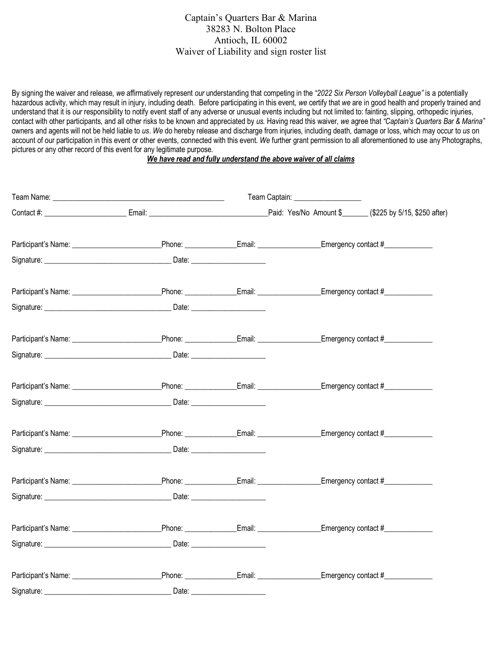## Captain's Quarters Bar & Marina 38283 N. Bolton Place Antioch, IL 60002 Waiver of Liability and sign roster list

By signing the waiver and release, *we* affirmatively represent *our* understanding that competing in the *"2022 Six Person Volleyball League"* is a potentially hazardous activity, which may result in injury, including death. Before participating in this event, *we* certify that *we* are in good health and properly trained and understand that it is *our* responsibility to notify event staff of any adverse or unusual events including but not limited to: fainting, slipping, orthopedic injuries, contact with other participants, and all other risks to be known and appreciated by *us.* Having read this waiver, *we* agree that *"Captain's Quarters Bar & Marina"*  owners and agents will not be held liable to *us*. *We* do hereby release and discharge from injuries, including death, damage or loss, which may occur to *us* on account of our participation in this event or other events, connected with this event. *We* further grant permission to all aforementioned to use any Photographs, pictures or any other record of this event for any legitimate purpose.

## *We have read and fully understand the above waiver of all claims*

|  |                                                                                                                                                                                                                                      | Team Captain: ___________________ |                                                                                   |  |
|--|--------------------------------------------------------------------------------------------------------------------------------------------------------------------------------------------------------------------------------------|-----------------------------------|-----------------------------------------------------------------------------------|--|
|  |                                                                                                                                                                                                                                      |                                   |                                                                                   |  |
|  |                                                                                                                                                                                                                                      |                                   |                                                                                   |  |
|  |                                                                                                                                                                                                                                      |                                   |                                                                                   |  |
|  |                                                                                                                                                                                                                                      |                                   |                                                                                   |  |
|  |                                                                                                                                                                                                                                      |                                   |                                                                                   |  |
|  |                                                                                                                                                                                                                                      |                                   |                                                                                   |  |
|  |                                                                                                                                                                                                                                      |                                   |                                                                                   |  |
|  |                                                                                                                                                                                                                                      |                                   |                                                                                   |  |
|  | Signature: <u>Contract Contract Contract Contract Contract Contract Contract Contract Contract Contract Contract Contract Contract Contract Contract Contract Contract Contract Contract Contract Contract Contract Contract Con</u> |                                   |                                                                                   |  |
|  |                                                                                                                                                                                                                                      |                                   |                                                                                   |  |
|  |                                                                                                                                                                                                                                      |                                   |                                                                                   |  |
|  |                                                                                                                                                                                                                                      |                                   |                                                                                   |  |
|  | Signature: Date: Date: Date:                                                                                                                                                                                                         |                                   |                                                                                   |  |
|  |                                                                                                                                                                                                                                      |                                   |                                                                                   |  |
|  |                                                                                                                                                                                                                                      |                                   |                                                                                   |  |
|  |                                                                                                                                                                                                                                      |                                   | Phone: _________________Email: ____________________Emergency contact #___________ |  |
|  |                                                                                                                                                                                                                                      |                                   |                                                                                   |  |